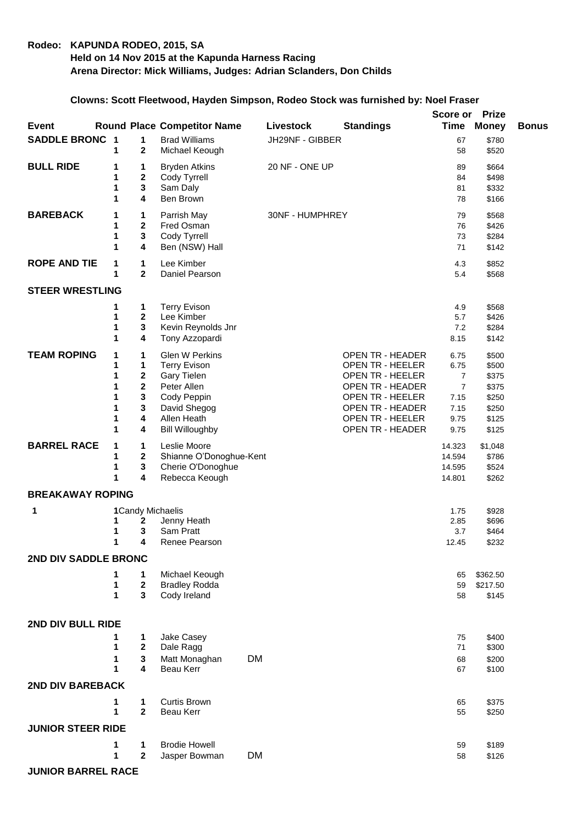## **Rodeo: KAPUNDA RODEO, 2015, SA Held on 14 Nov 2015 at the Kapunda Harness Racing Arena Director: Mick Williams, Judges: Adrian Sclanders, Don Childs**

## **Clowns: Scott Fleetwood, Hayden Simpson, Rodeo Stock was furnished by: Noel Fraser**

| <b>Event</b>                |                                      |                                                                | <b>Round Place Competitor Name</b>                                                                                                                 |           | Livestock       | <b>Standings</b>                                                                                                                                             | Score or<br><b>Time</b>                                                          | <b>Prize</b><br><b>Money</b>                                         | <b>Bonus</b> |
|-----------------------------|--------------------------------------|----------------------------------------------------------------|----------------------------------------------------------------------------------------------------------------------------------------------------|-----------|-----------------|--------------------------------------------------------------------------------------------------------------------------------------------------------------|----------------------------------------------------------------------------------|----------------------------------------------------------------------|--------------|
| <b>SADDLE BRONC 1</b>       | 1                                    | 1<br>2                                                         | <b>Brad Williams</b><br>Michael Keough                                                                                                             |           | JH29NF - GIBBER |                                                                                                                                                              | 67<br>58                                                                         | \$780<br>\$520                                                       |              |
| <b>BULL RIDE</b>            | 1<br>1<br>1<br>1                     | 1<br>2<br>3<br>4                                               | <b>Bryden Atkins</b><br>Cody Tyrrell<br>Sam Daly<br>Ben Brown                                                                                      |           | 20 NF - ONE UP  |                                                                                                                                                              | 89<br>84<br>81<br>78                                                             | \$664<br>\$498<br>\$332<br>\$166                                     |              |
| <b>BAREBACK</b>             | 1<br>1<br>1<br>1                     | 1<br>$\mathbf 2$<br>3<br>4                                     | Parrish May<br>Fred Osman<br>Cody Tyrrell<br>Ben (NSW) Hall                                                                                        |           | 30NF - HUMPHREY |                                                                                                                                                              | 79<br>76<br>73<br>71                                                             | \$568<br>\$426<br>\$284<br>\$142                                     |              |
| <b>ROPE AND TIE</b>         | 1<br>1                               | 1<br>$\overline{2}$                                            | Lee Kimber<br>Daniel Pearson                                                                                                                       |           |                 |                                                                                                                                                              | 4.3<br>5.4                                                                       | \$852<br>\$568                                                       |              |
| <b>STEER WRESTLING</b>      |                                      |                                                                |                                                                                                                                                    |           |                 |                                                                                                                                                              |                                                                                  |                                                                      |              |
|                             | 1<br>1<br>1<br>1                     | 1<br>$\mathbf{2}$<br>3<br>4                                    | <b>Terry Evison</b><br>Lee Kimber<br>Kevin Reynolds Jnr<br>Tony Azzopardi                                                                          |           |                 |                                                                                                                                                              | 4.9<br>5.7<br>7.2<br>8.15                                                        | \$568<br>\$426<br>\$284<br>\$142                                     |              |
| <b>TEAM ROPING</b>          | 1<br>1<br>1<br>1<br>1<br>1<br>1<br>1 | 1<br>1<br>$\boldsymbol{2}$<br>$\mathbf{2}$<br>3<br>3<br>4<br>4 | <b>Glen W Perkins</b><br><b>Terry Evison</b><br>Gary Tielen<br>Peter Allen<br>Cody Peppin<br>David Shegog<br>Allen Heath<br><b>Bill Willoughby</b> |           |                 | OPEN TR - HEADER<br>OPEN TR - HEELER<br>OPEN TR - HEELER<br>OPEN TR - HEADER<br>OPEN TR - HEELER<br>OPEN TR - HEADER<br>OPEN TR - HEELER<br>OPEN TR - HEADER | 6.75<br>6.75<br>$\overline{7}$<br>$\overline{7}$<br>7.15<br>7.15<br>9.75<br>9.75 | \$500<br>\$500<br>\$375<br>\$375<br>\$250<br>\$250<br>\$125<br>\$125 |              |
| <b>BARREL RACE</b>          | 1<br>1<br>1<br>1                     | 1<br>$\boldsymbol{2}$<br>3<br>4                                | Leslie Moore<br>Shianne O'Donoghue-Kent<br>Cherie O'Donoghue<br>Rebecca Keough                                                                     |           |                 |                                                                                                                                                              | 14.323<br>14.594<br>14.595<br>14.801                                             | \$1,048<br>\$786<br>\$524<br>\$262                                   |              |
| <b>BREAKAWAY ROPING</b>     |                                      |                                                                |                                                                                                                                                    |           |                 |                                                                                                                                                              |                                                                                  |                                                                      |              |
| 1                           | 1<br>1<br>1                          | 2<br>3<br>4                                                    | 1 Candy Michaelis<br>Jenny Heath<br>Sam Pratt<br>Renee Pearson                                                                                     |           |                 |                                                                                                                                                              | 1.75<br>2.85<br>3.7<br>12.45                                                     | \$928<br>\$696<br>\$464<br>\$232                                     |              |
| <b>2ND DIV SADDLE BRONC</b> |                                      |                                                                |                                                                                                                                                    |           |                 |                                                                                                                                                              |                                                                                  |                                                                      |              |
|                             | 1<br>1<br>1                          | 1<br>$\boldsymbol{2}$<br>3                                     | Michael Keough<br><b>Bradley Rodda</b><br>Cody Ireland                                                                                             |           |                 |                                                                                                                                                              | 65<br>59<br>58                                                                   | \$362.50<br>\$217.50<br>\$145                                        |              |
| 2ND DIV BULL RIDE           |                                      |                                                                |                                                                                                                                                    |           |                 |                                                                                                                                                              |                                                                                  |                                                                      |              |
|                             | 1<br>1<br>1<br>1                     | 1<br>$\mathbf{2}$<br>3<br>4                                    | Jake Casey<br>Dale Ragg<br>Matt Monaghan<br>Beau Kerr                                                                                              | <b>DM</b> |                 |                                                                                                                                                              | 75<br>71<br>68<br>67                                                             | \$400<br>\$300<br>\$200<br>\$100                                     |              |
| <b>2ND DIV BAREBACK</b>     |                                      |                                                                |                                                                                                                                                    |           |                 |                                                                                                                                                              |                                                                                  |                                                                      |              |
|                             | 1<br>1                               | $\mathbf 1$<br>$\mathbf{2}$                                    | <b>Curtis Brown</b><br>Beau Kerr                                                                                                                   |           |                 |                                                                                                                                                              | 65<br>55                                                                         | \$375<br>\$250                                                       |              |
| <b>JUNIOR STEER RIDE</b>    |                                      |                                                                |                                                                                                                                                    |           |                 |                                                                                                                                                              |                                                                                  |                                                                      |              |
|                             | 1<br>1                               | 1<br>$\mathbf{2}$                                              | <b>Brodie Howell</b><br>Jasper Bowman                                                                                                              | <b>DM</b> |                 |                                                                                                                                                              | 59<br>58                                                                         | \$189<br>\$126                                                       |              |
| <b>JUNIOR BARREL RACE</b>   |                                      |                                                                |                                                                                                                                                    |           |                 |                                                                                                                                                              |                                                                                  |                                                                      |              |